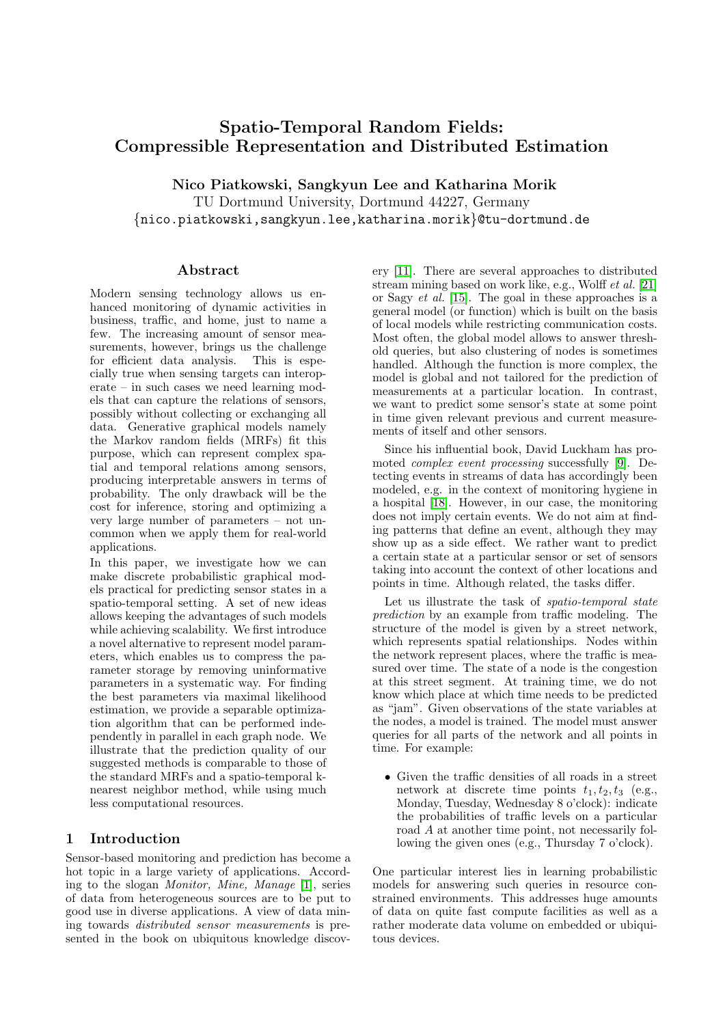# Spatio-Temporal Random Fields: Compressible Representation and Distributed Estimation

Nico Piatkowski, Sangkyun Lee and Katharina Morik

TU Dortmund University, Dortmund 44227, Germany {nico.piatkowski,sangkyun.lee,katharina.morik}@tu-dortmund.de

#### Abstract

Modern sensing technology allows us enhanced monitoring of dynamic activities in business, traffic, and home, just to name a few. The increasing amount of sensor measurements, however, brings us the challenge for efficient data analysis. This is especially true when sensing targets can interoperate – in such cases we need learning models that can capture the relations of sensors, possibly without collecting or exchanging all data. Generative graphical models namely the Markov random fields (MRFs) fit this purpose, which can represent complex spatial and temporal relations among sensors, producing interpretable answers in terms of probability. The only drawback will be the cost for inference, storing and optimizing a very large number of parameters – not uncommon when we apply them for real-world applications.

In this paper, we investigate how we can make discrete probabilistic graphical models practical for predicting sensor states in a spatio-temporal setting. A set of new ideas allows keeping the advantages of such models while achieving scalability. We first introduce a novel alternative to represent model parameters, which enables us to compress the parameter storage by removing uninformative parameters in a systematic way. For finding the best parameters via maximal likelihood estimation, we provide a separable optimization algorithm that can be performed independently in parallel in each graph node. We illustrate that the prediction quality of our suggested methods is comparable to those of the standard MRFs and a spatio-temporal knearest neighbor method, while using much less computational resources.

## 1 Introduction

Sensor-based monitoring and prediction has become a hot topic in a large variety of applications. According to the slogan Monitor, Mine, Manage [\[1\]](#page-3-0), series of data from heterogeneous sources are to be put to good use in diverse applications. A view of data mining towards distributed sensor measurements is presented in the book on ubiquitous knowledge discovery [\[11\]](#page-3-1). There are several approaches to distributed stream mining based on work like, e.g., Wolff et al. [\[21\]](#page-3-2) or Sagy et al. [\[15\]](#page-3-3). The goal in these approaches is a general model (or function) which is built on the basis of local models while restricting communication costs. Most often, the global model allows to answer threshold queries, but also clustering of nodes is sometimes handled. Although the function is more complex, the model is global and not tailored for the prediction of measurements at a particular location. In contrast, we want to predict some sensor's state at some point in time given relevant previous and current measurements of itself and other sensors.

Since his influential book, David Luckham has promoted complex event processing successfully [\[9\]](#page-3-4). Detecting events in streams of data has accordingly been modeled, e.g. in the context of monitoring hygiene in a hospital [\[18\]](#page-3-5). However, in our case, the monitoring does not imply certain events. We do not aim at finding patterns that define an event, although they may show up as a side effect. We rather want to predict a certain state at a particular sensor or set of sensors taking into account the context of other locations and points in time. Although related, the tasks differ.

Let us illustrate the task of spatio-temporal state prediction by an example from traffic modeling. The structure of the model is given by a street network, which represents spatial relationships. Nodes within the network represent places, where the traffic is measured over time. The state of a node is the congestion at this street segment. At training time, we do not know which place at which time needs to be predicted as "jam". Given observations of the state variables at the nodes, a model is trained. The model must answer queries for all parts of the network and all points in time. For example:

• Given the traffic densities of all roads in a street network at discrete time points  $t_1, t_2, t_3$  (e.g., Monday, Tuesday, Wednesday 8 o'clock): indicate the probabilities of traffic levels on a particular road A at another time point, not necessarily following the given ones (e.g., Thursday 7 o'clock).

One particular interest lies in learning probabilistic models for answering such queries in resource constrained environments. This addresses huge amounts of data on quite fast compute facilities as well as a rather moderate data volume on embedded or ubiquitous devices.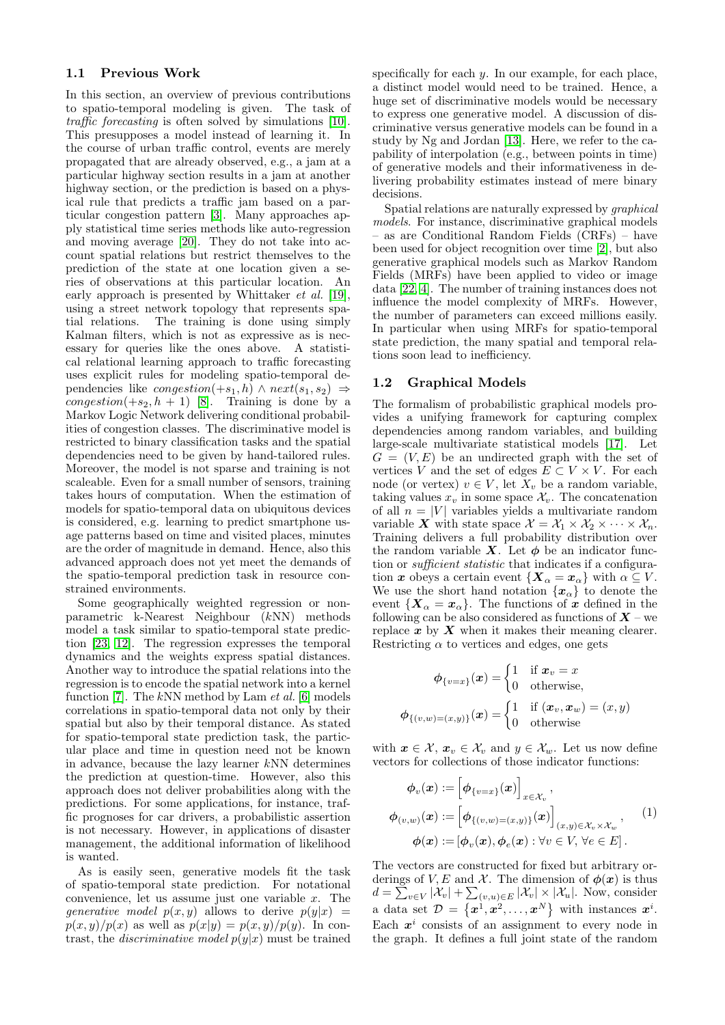#### 1.1 Previous Work

In this section, an overview of previous contributions to spatio-temporal modeling is given. The task of traffic forecasting is often solved by simulations [\[10\]](#page-3-6). This presupposes a model instead of learning it. In the course of urban traffic control, events are merely propagated that are already observed, e.g., a jam at a particular highway section results in a jam at another highway section, or the prediction is based on a physical rule that predicts a traffic jam based on a particular congestion pattern [\[3\]](#page-3-7). Many approaches apply statistical time series methods like auto-regression and moving average [\[20\]](#page-3-8). They do not take into account spatial relations but restrict themselves to the prediction of the state at one location given a series of observations at this particular location. An early approach is presented by Whittaker et al. [\[19\]](#page-3-9), using a street network topology that represents spatial relations. The training is done using simply Kalman filters, which is not as expressive as is necessary for queries like the ones above. A statistical relational learning approach to traffic forecasting uses explicit rules for modeling spatio-temporal dependencies like *congestion*(+s<sub>1</sub>, h)  $\land$  next(s<sub>1</sub>, s<sub>2</sub>)  $\Rightarrow$ congestion(+ $s_2$ , h + 1) [\[8\]](#page-3-10). Training is done by a Markov Logic Network delivering conditional probabilities of congestion classes. The discriminative model is restricted to binary classification tasks and the spatial dependencies need to be given by hand-tailored rules. Moreover, the model is not sparse and training is not scaleable. Even for a small number of sensors, training takes hours of computation. When the estimation of models for spatio-temporal data on ubiquitous devices is considered, e.g. learning to predict smartphone usage patterns based on time and visited places, minutes are the order of magnitude in demand. Hence, also this advanced approach does not yet meet the demands of the spatio-temporal prediction task in resource constrained environments.

Some geographically weighted regression or nonparametric k-Nearest Neighbour (kNN) methods model a task similar to spatio-temporal state prediction [\[23,](#page-3-11) [12\]](#page-3-12). The regression expresses the temporal dynamics and the weights express spatial distances. Another way to introduce the spatial relations into the regression is to encode the spatial network into a kernel function [\[7\]](#page-3-13). The  $kNN$  method by Lam *et al.* [\[6\]](#page-3-14) models correlations in spatio-temporal data not only by their spatial but also by their temporal distance. As stated for spatio-temporal state prediction task, the particular place and time in question need not be known in advance, because the lazy learner kNN determines the prediction at question-time. However, also this approach does not deliver probabilities along with the predictions. For some applications, for instance, traffic prognoses for car drivers, a probabilistic assertion is not necessary. However, in applications of disaster management, the additional information of likelihood is wanted.

As is easily seen, generative models fit the task of spatio-temporal state prediction. For notational convenience, let us assume just one variable  $x$ . The generative model  $p(x, y)$  allows to derive  $p(y|x) =$  $p(x, y)/p(x)$  as well as  $p(x|y) = p(x, y)/p(y)$ . In contrast, the *discriminative model*  $p(y|x)$  must be trained specifically for each  $y$ . In our example, for each place, a distinct model would need to be trained. Hence, a huge set of discriminative models would be necessary to express one generative model. A discussion of discriminative versus generative models can be found in a study by Ng and Jordan [\[13\]](#page-3-15). Here, we refer to the capability of interpolation (e.g., between points in time) of generative models and their informativeness in delivering probability estimates instead of mere binary decisions.

Spatial relations are naturally expressed by graphical models. For instance, discriminative graphical models – as are Conditional Random Fields (CRFs) – have been used for object recognition over time [\[2\]](#page-3-16), but also generative graphical models such as Markov Random Fields (MRFs) have been applied to video or image data [\[22,](#page-3-17) [4\]](#page-3-18). The number of training instances does not influence the model complexity of MRFs. However, the number of parameters can exceed millions easily. In particular when using MRFs for spatio-temporal state prediction, the many spatial and temporal relations soon lead to inefficiency.

#### 1.2 Graphical Models

The formalism of probabilistic graphical models provides a unifying framework for capturing complex dependencies among random variables, and building large-scale multivariate statistical models [\[17\]](#page-3-19). Let  $G = (V, E)$  be an undirected graph with the set of vertices V and the set of edges  $E \subset V \times V$ . For each node (or vertex)  $v \in V$ , let  $X_v$  be a random variable, taking values  $x_v$  in some space  $\mathcal{X}_v$ . The concatenation of all  $n = |V|$  variables yields a multivariate random variable X with state space  $\mathcal{X} = \mathcal{X}_1 \times \mathcal{X}_2 \times \cdots \times \mathcal{X}_n$ . Training delivers a full probability distribution over the random variable X. Let  $\phi$  be an indicator function or sufficient statistic that indicates if a configuration x obeys a certain event  $\{X_\alpha = x_\alpha\}$  with  $\alpha \subseteq V$ . We use the short hand notation  $\{x_{\alpha}\}\)$  to denote the event  ${X_\alpha = x_\alpha}$ . The functions of x defined in the following can be also considered as functions of  $X$  – we replace  $x$  by  $X$  when it makes their meaning clearer. Restricting  $\alpha$  to vertices and edges, one gets

<span id="page-1-0"></span>
$$
\phi_{\{v=x\}}(\boldsymbol{x}) = \begin{cases} 1 & \text{if } \boldsymbol{x}_v = x \\ 0 & \text{otherwise,} \end{cases}
$$

$$
\phi_{\{(v,w)=(x,y)\}}(\boldsymbol{x}) = \begin{cases} 1 & \text{if } (\boldsymbol{x}_v, \boldsymbol{x}_w) = (x,y) \\ 0 & \text{otherwise} \end{cases}
$$

with  $x \in \mathcal{X}, x_v \in \mathcal{X}_v$  and  $y \in \mathcal{X}_w$ . Let us now define vectors for collections of those indicator functions:

$$
\phi_v(\boldsymbol{x}) := \left[\phi_{\{v=x\}}(\boldsymbol{x})\right]_{x \in \mathcal{X}_v},
$$
\n
$$
\phi_{(v,w)}(\boldsymbol{x}) := \left[\phi_{\{(v,w)=(x,y)\}}(\boldsymbol{x})\right]_{(x,y)\in \mathcal{X}_v \times \mathcal{X}_w},
$$
\n
$$
\phi(\boldsymbol{x}) := \left[\phi_v(\boldsymbol{x}), \phi_e(\boldsymbol{x}) : \forall v \in V, \forall e \in E\right].
$$
\n
$$
(1)
$$

The vectors are constructed for fixed but arbitrary orderings of V, E and X. The dimension of  $\phi(x)$  is thus  $d = \sum_{v \in V} |\mathcal{X}_v| + \sum_{(v,u) \in E} |\mathcal{X}_v| \times |\mathcal{X}_u|$ . Now, consider a data set  $\mathcal{D} = \{x^1, x^2, \ldots, x^N\}$  with instances  $x^i$ . Each  $x^i$  consists of an assignment to every node in the graph. It defines a full joint state of the random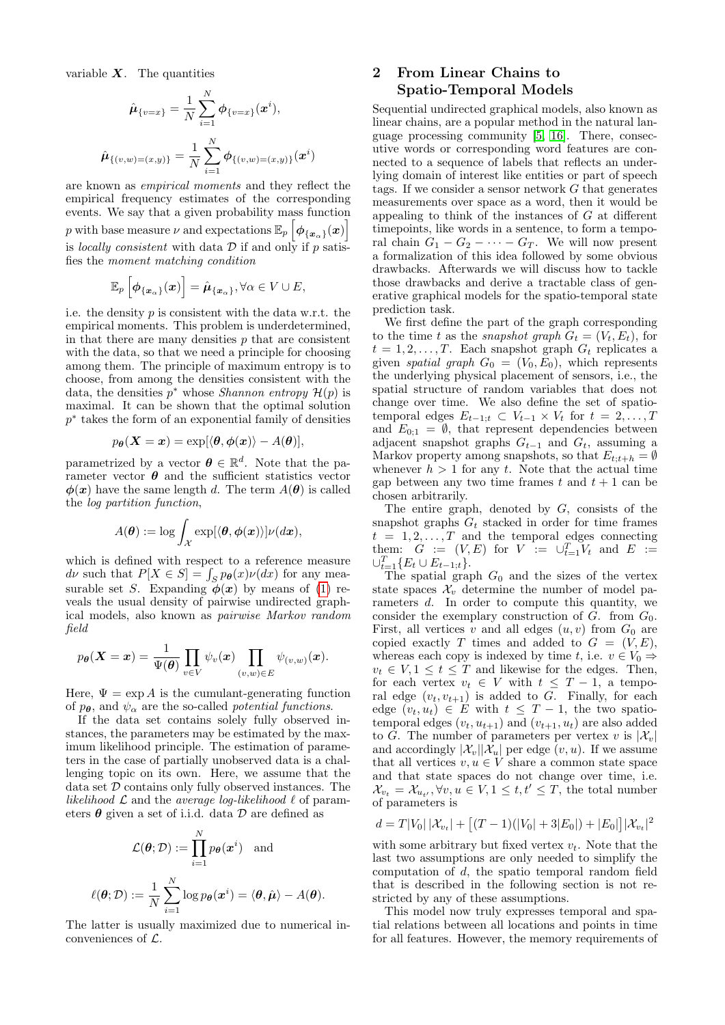variable  $X$ . The quantities

$$
\hat{\boldsymbol{\mu}}_{\{v=x\}} = \frac{1}{N} \sum_{i=1}^{N} \boldsymbol{\phi}_{\{v=x\}}(\boldsymbol{x}^{i}),
$$
\n
$$
\hat{\boldsymbol{\mu}}_{\{(v,w)=(x,y)\}} = \frac{1}{N} \sum_{i=1}^{N} \boldsymbol{\phi}_{\{(v,w)=(x,y)\}}(\boldsymbol{x}^{i})
$$

are known as empirical moments and they reflect the empirical frequency estimates of the corresponding events. We say that a given probability mass function p with base measure  $\nu$  and expectations  $\mathbb{E}_p \left[ \phi_{\{\bm{x}_\alpha\}}(\bm{x}) \right]$ is *locally consistent* with data  $D$  if and only if p satisfies the moment matching condition

$$
\mathbb{E}_p\left[\boldsymbol{\phi}_{\{\boldsymbol{x}_{\alpha}\}}(\boldsymbol{x})\right] = \hat{\boldsymbol{\mu}}_{\{\boldsymbol{x}_{\alpha}\}}, \forall \alpha \in V \cup E,
$$

i.e. the density  $p$  is consistent with the data w.r.t. the empirical moments. This problem is underdetermined, in that there are many densities  $p$  that are consistent with the data, so that we need a principle for choosing among them. The principle of maximum entropy is to choose, from among the densities consistent with the data, the densities  $p^*$  whose *Shannon entropy*  $\mathcal{H}(p)$  is maximal. It can be shown that the optimal solution  $p^*$  takes the form of an exponential family of densities

$$
p_{\boldsymbol{\theta}}(\boldsymbol{X}=\boldsymbol{x})=\exp[\langle\boldsymbol{\theta},\boldsymbol{\phi}(\boldsymbol{x})\rangle-A(\boldsymbol{\theta})],
$$

parametrized by a vector  $\boldsymbol{\theta} \in \mathbb{R}^d$ . Note that the parameter vector  $\theta$  and the sufficient statistics vector  $\phi(x)$  have the same length d. The term  $A(\theta)$  is called the log partition function,

$$
A(\boldsymbol{\theta}):=\log \int_{\mathcal{X}} \exp [\langle \boldsymbol{\theta}, \boldsymbol{\phi}(\boldsymbol{x}) \rangle] \nu(d\boldsymbol{x}),
$$

which is defined with respect to a reference measure  $d\nu$  such that  $P[X \in S] = \int_S p_{\theta}(x) \nu(dx)$  for any measurable set S. Expanding  $\phi(x)$  by means of [\(1\)](#page-1-0) reveals the usual density of pairwise undirected graphical models, also known as pairwise Markov random field

$$
p_{\boldsymbol{\theta}}(\boldsymbol{X}=\boldsymbol{x}) = \frac{1}{\Psi(\boldsymbol{\theta})} \prod_{v \in V} \psi_v(\boldsymbol{x}) \prod_{(v,w) \in E} \psi_{(v,w)}(\boldsymbol{x}).
$$

Here,  $\Psi = \exp A$  is the cumulant-generating function of  $p_{\theta}$ , and  $\psi_{\alpha}$  are the so-called *potential functions*.

If the data set contains solely fully observed instances, the parameters may be estimated by the maximum likelihood principle. The estimation of parameters in the case of partially unobserved data is a challenging topic on its own. Here, we assume that the data set  $D$  contains only fully observed instances. The likelihood  $\mathcal L$  and the average log-likelihood  $\ell$  of parameters  $\boldsymbol{\theta}$  given a set of i.i.d. data  $\mathcal D$  are defined as

$$
\mathcal{L}(\boldsymbol{\theta}; \mathcal{D}) := \prod_{i=1}^{N} p_{\boldsymbol{\theta}}(\boldsymbol{x}^i) \text{ and}
$$

$$
\ell(\boldsymbol{\theta}; \mathcal{D}) := \frac{1}{N} \sum_{i=1}^{N} \log p_{\boldsymbol{\theta}}(\boldsymbol{x}^i) = \langle \boldsymbol{\theta}, \hat{\boldsymbol{\mu}} \rangle - A(\boldsymbol{\theta}).
$$

The latter is usually maximized due to numerical inconveniences of  $\mathcal{L}$ .

# 2 From Linear Chains to Spatio-Temporal Models

Sequential undirected graphical models, also known as linear chains, are a popular method in the natural language processing community [\[5,](#page-3-20) [16\]](#page-3-21). There, consecutive words or corresponding word features are connected to a sequence of labels that reflects an underlying domain of interest like entities or part of speech tags. If we consider a sensor network  $G$  that generates measurements over space as a word, then it would be appealing to think of the instances of G at different timepoints, like words in a sentence, to form a temporal chain  $G_1 - G_2 - \cdots - G_T$ . We will now present a formalization of this idea followed by some obvious drawbacks. Afterwards we will discuss how to tackle those drawbacks and derive a tractable class of generative graphical models for the spatio-temporal state prediction task.

We first define the part of the graph corresponding to the time t as the *snapshot* graph  $G_t = (V_t, E_t)$ , for  $t = 1, 2, \ldots, T$ . Each snapshot graph  $G_t$  replicates a given spatial graph  $G_0 = (V_0, E_0)$ , which represents the underlying physical placement of sensors, i.e., the spatial structure of random variables that does not change over time. We also define the set of spatiotemporal edges  $E_{t-1,t} \subset V_{t-1} \times V_t$  for  $t = 2, \ldots, T$ and  $E_{0;1} = \emptyset$ , that represent dependencies between adjacent snapshot graphs  $G_{t-1}$  and  $G_t$ , assuming a Markov property among snapshots, so that  $E_{t:t+h} = \emptyset$ whenever  $h > 1$  for any t. Note that the actual time gap between any two time frames t and  $t + 1$  can be chosen arbitrarily.

The entire graph, denoted by  $G$ , consists of the snapshot graphs  $G_t$  stacked in order for time frames  $t = 1, 2, \ldots, T$  and the temporal edges connecting them:  $G := (V, E)$  for  $V := \bigcup_{t=1}^{T} V_t$  and  $E :=$  $\cup_{t=1}^T \{E_t \cup E_{t-1,t}\}.$ 

The spatial graph  $G_0$  and the sizes of the vertex state spaces  $\mathcal{X}_v$  determine the number of model parameters d. In order to compute this quantity, we consider the exemplary construction of  $G$ . from  $G_0$ . First, all vertices v and all edges  $(u, v)$  from  $G_0$  are copied exactly T times and added to  $G = (V, E)$ , whereas each copy is indexed by time t, i.e.  $v \in V_0 \Rightarrow$  $v_t \in V, 1 \leq t \leq T$  and likewise for the edges. Then, for each vertex  $v_t \in V$  with  $t \leq T-1$ , a temporal edge  $(v_t, v_{t+1})$  is added to G. Finally, for each edge  $(v_t, u_t) \in E$  with  $t \leq T - 1$ , the two spatiotemporal edges  $(v_t, u_{t+1})$  and  $(v_{t+1}, u_t)$  are also added to G. The number of parameters per vertex v is  $|\mathcal{X}_v|$ and accordingly  $|\mathcal{X}_v||\mathcal{X}_u|$  per edge  $(v, u)$ . If we assume that all vertices  $v, u \in V$  share a common state space and that state spaces do not change over time, i.e.  $\mathcal{X}_{v_t} = \mathcal{X}_{u_{t'}}, \forall v, u \in V, 1 \leq t, t' \leq T$ , the total number of parameters is

$$
d = T|V_0||\mathcal{X}_{v_t}| + [(T-1)(|V_0|+3|E_0|) + |E_0|]|\mathcal{X}_{v_t}|^2
$$

with some arbitrary but fixed vertex  $v_t$ . Note that the last two assumptions are only needed to simplify the computation of d, the spatio temporal random field that is described in the following section is not restricted by any of these assumptions.

This model now truly expresses temporal and spatial relations between all locations and points in time for all features. However, the memory requirements of